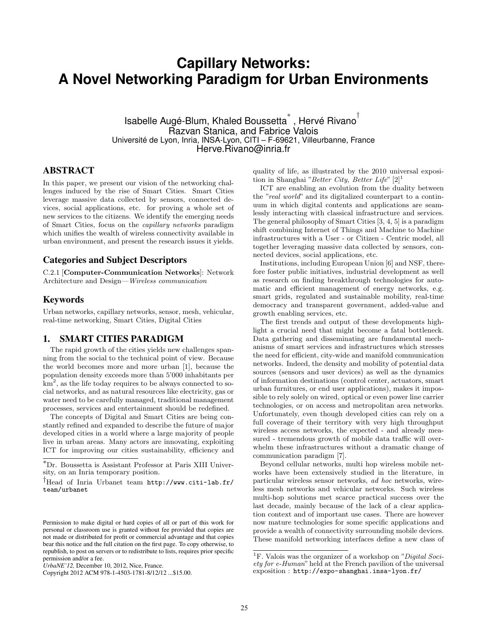# **Capillary Networks: A Novel Networking Paradigm for Urban Environments**

Isabelle Augé-Blum, Khaled Boussetta $^*$  , Hervé Rivano $^\dagger$ Razvan Stanica, and Fabrice Valois Université de Lyon, Inria, INSA-Lyon, CITI – F-69621, Villeurbanne, France Herve.Rivano@inria.fr

# ABSTRACT

In this paper, we present our vision of the networking challenges induced by the rise of Smart Cities. Smart Cities leverage massive data collected by sensors, connected devices, social applications, etc. for proving a whole set of new services to the citizens. We identify the emerging needs of Smart Cities, focus on the capillary networks paradigm which unifies the wealth of wireless connectivity available in urban environment, and present the research issues it yields.

# Categories and Subject Descriptors

C.2.1 [Computer-Communication Networks]: Network Architecture and Design—Wireless communication

#### Keywords

Urban networks, capillary networks, sensor, mesh, vehicular, real-time networking, Smart Cities, Digital Cities

# 1. SMART CITIES PARADIGM

The rapid growth of the cities yields new challenges spanning from the social to the technical point of view. Because the world becomes more and more urban [1], because the population density exceeds more than 5'000 inhabitants per km<sup>2</sup>, as the life today requires to be always connected to social networks, and as natural resources like electricity, gas or water need to be carefully managed, traditional management processes, services and entertainment should be redefined.

The concepts of Digital and Smart Cities are being constantly refined and expanded to describe the future of major developed cities in a world where a large majority of people live in urban areas. Many actors are innovating, exploiting ICT for improving our cities sustainability, efficiency and quality of life, as illustrated by the 2010 universal exposition in Shanghai "Better City, Better Life"  $[2]$ <sup>1</sup>

ICT are enabling an evolution from the duality between the "real world" and its digitalized counterpart to a continuum in which digital contents and applications are seamlessly interacting with classical infrastructure and services. The general philosophy of Smart Cities [3, 4, 5] is a paradigm shift combining Internet of Things and Machine to Machine infrastructures with a User - or Citizen - Centric model, all together leveraging massive data collected by sensors, connected devices, social applications, etc.

Institutions, including European Union [6] and NSF, therefore foster public initiatives, industrial development as well as research on finding breakthrough technologies for automatic and efficient management of energy networks, e.g. smart grids, regulated and sustainable mobility, real-time democracy and transparent government, added-value and growth enabling services, etc.

The first trends and output of these developments highlight a crucial need that might become a fatal bottleneck. Data gathering and disseminating are fundamental mechanisms of smart services and infrastructures which stresses the need for efficient, city-wide and manifold communication networks. Indeed, the density and mobility of potential data sources (sensors and user devices) as well as the dynamics of information destinations (control center, actuators, smart urban furnitures, or end user applications), makes it impossible to rely solely on wired, optical or even power line carrier technologies, or on access and metropolitan area networks. Unfortunately, even though developed cities can rely on a full coverage of their territory with very high throughput wireless access networks, the expected - and already measured - tremendous growth of mobile data traffic will overwhelm these infrastructures without a dramatic change of communication paradigm [7].

Beyond cellular networks, multi hop wireless mobile networks have been extensively studied in the literature, in particular wireless sensor networks, ad hoc networks, wireless mesh networks and vehicular networks. Such wireless multi-hop solutions met scarce practical success over the last decade, mainly because of the lack of a clear application context and of important use cases. There are however now mature technologies for some specific applications and provide a wealth of connectivity surrounding mobile devices. These manifold networking interfaces define a new class of

<sup>∗</sup>Dr. Boussetta is Assistant Professor at Paris XIII University, on an Inria temporary position.

<sup>†</sup>Head of Inria Urbanet team http://www.citi-lab.fr/ team/urbanet

Permission to make digital or hard copies of all or part of this work for personal or classroom use is granted without fee provided that copies are not made or distributed for profit or commercial advantage and that copies bear this notice and the full citation on the first page. To copy otherwise, to republish, to post on servers or to redistribute to lists, requires prior specific permission and/or a fee.

*UrbaNE'12,* December 10, 2012, Nice, France.

Copyright 2012 ACM 978-1-4503-1781-8/12/12 ...\$15.00.

<sup>&</sup>lt;sup>1</sup>F. Valois was the organizer of a workshop on "Digital Soci $ety$  for e-Human" held at the French pavilion of the universal exposition : http://expo-shanghai.insa-lyon.fr/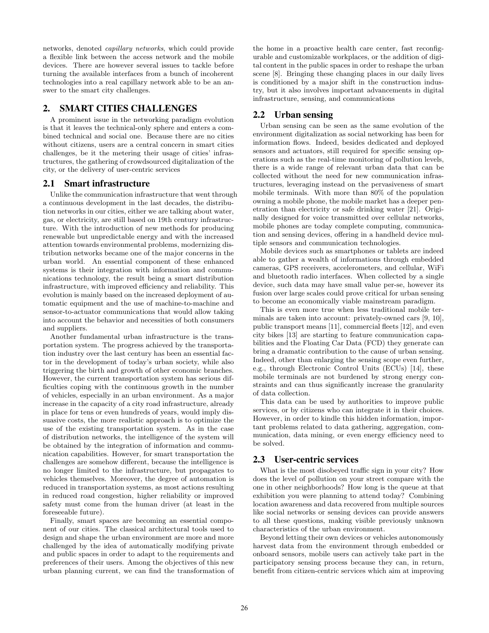networks, denoted capillary networks, which could provide a flexible link between the access network and the mobile devices. There are however several issues to tackle before turning the available interfaces from a bunch of incoherent technologies into a real capillary network able to be an answer to the smart city challenges.

# 2. SMART CITIES CHALLENGES

A prominent issue in the networking paradigm evolution is that it leaves the technical-only sphere and enters a combined technical and social one. Because there are no cities without citizens, users are a central concern in smart cities challenges, be it the metering their usage of cities' infrastructures, the gathering of crowdsourced digitalization of the city, or the delivery of user-centric services

#### 2.1 Smart infrastructure

Unlike the communication infrastructure that went through a continuous development in the last decades, the distribution networks in our cities, either we are talking about water, gas, or electricity, are still based on 19th century infrastructure. With the introduction of new methods for producing renewable but unpredictable energy and with the increased attention towards environmental problems, modernizing distribution networks became one of the major concerns in the urban world. An essential component of these enhanced systems is their integration with information and communications technology, the result being a smart distribution infrastructure, with improved efficiency and reliability. This evolution is mainly based on the increased deployment of automatic equipment and the use of machine-to-machine and sensor-to-actuator communications that would allow taking into account the behavior and necessities of both consumers and suppliers.

Another fundamental urban infrastructure is the transportation system. The progress achieved by the transportation industry over the last century has been an essential factor in the development of today's urban society, while also triggering the birth and growth of other economic branches. However, the current transportation system has serious difficulties coping with the continuous growth in the number of vehicles, especially in an urban environment. As a major increase in the capacity of a city road infrastructure, already in place for tens or even hundreds of years, would imply dissuasive costs, the more realistic approach is to optimize the use of the existing transportation system. As in the case of distribution networks, the intelligence of the system will be obtained by the integration of information and communication capabilities. However, for smart transportation the challenges are somehow different, because the intelligence is no longer limited to the infrastructure, but propagates to vehicles themselves. Moreover, the degree of automation is reduced in transportation systems, as most actions resulting in reduced road congestion, higher reliability or improved safety must come from the human driver (at least in the foreseeable future).

Finally, smart spaces are becoming an essential component of our cities. The classical architectural tools used to design and shape the urban environment are more and more challenged by the idea of automatically modifying private and public spaces in order to adapt to the requirements and preferences of their users. Among the objectives of this new urban planning current, we can find the transformation of the home in a proactive health care center, fast reconfigurable and customizable workplaces, or the addition of digital content in the public spaces in order to reshape the urban scene [8]. Bringing these changing places in our daily lives is conditioned by a major shift in the construction industry, but it also involves important advancements in digital infrastructure, sensing, and communications

#### 2.2 Urban sensing

Urban sensing can be seen as the same evolution of the environment digitalization as social networking has been for information flows. Indeed, besides dedicated and deployed sensors and actuators, still required for specific sensing operations such as the real-time monitoring of pollution levels, there is a wide range of relevant urban data that can be collected without the need for new communication infrastructures, leveraging instead on the pervasiveness of smart mobile terminals. With more than 80% of the population owning a mobile phone, the mobile market has a deeper penetration than electricity or safe drinking water [21]. Originally designed for voice transmitted over cellular networks, mobile phones are today complete computing, communication and sensing devices, offering in a handheld device multiple sensors and communication technologies.

Mobile devices such as smartphones or tablets are indeed able to gather a wealth of informations through embedded cameras, GPS receivers, accelerometers, and cellular, WiFi and bluetooth radio interfaces. When collected by a single device, such data may have small value per-se, however its fusion over large scales could prove critical for urban sensing to become an economically viable mainstream paradigm.

This is even more true when less traditional mobile terminals are taken into account: privately-owned cars [9, 10], public transport means [11], commercial fleets [12], and even city bikes [13] are starting to feature communication capabilities and the Floating Car Data (FCD) they generate can bring a dramatic contribution to the cause of urban sensing. Indeed, other than enlarging the sensing scope even further, e.g., through Electronic Control Units (ECUs) [14], these mobile terminals are not burdened by strong energy constraints and can thus significantly increase the granularity of data collection.

This data can be used by authorities to improve public services, or by citizens who can integrate it in their choices. However, in order to kindle this hidden information, important problems related to data gathering, aggregation, communication, data mining, or even energy efficiency need to be solved.

#### 2.3 User-centric services

What is the most disobeyed traffic sign in your city? How does the level of pollution on your street compare with the one in other neighborhoods? How long is the queue at that exhibition you were planning to attend today? Combining location awareness and data recovered from multiple sources like social networks or sensing devices can provide answers to all these questions, making visible previously unknown characteristics of the urban environment.

Beyond letting their own devices or vehicles autonomously harvest data from the environment through embedded or onboard sensors, mobile users can actively take part in the participatory sensing process because they can, in return, benefit from citizen-centric services which aim at improving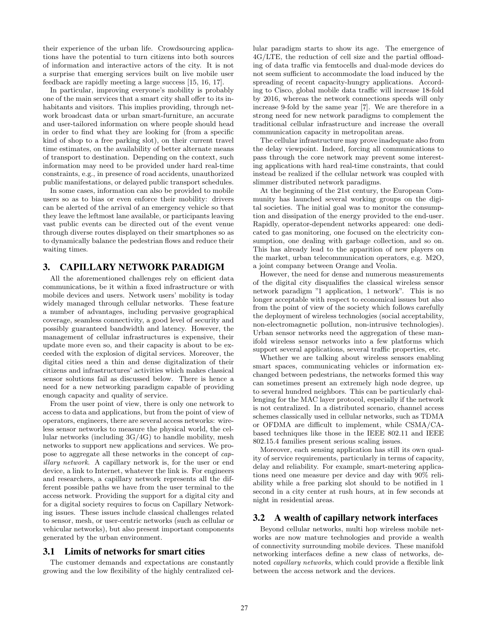their experience of the urban life. Crowdsourcing applications have the potential to turn citizens into both sources of information and interactive actors of the city. It is not a surprise that emerging services built on live mobile user feedback are rapidly meeting a large success [15, 16, 17].

In particular, improving everyone's mobility is probably one of the main services that a smart city shall offer to its inhabitants and visitors. This implies providing, through network broadcast data or urban smart-furniture, an accurate and user-tailored information on where people should head in order to find what they are looking for (from a specific kind of shop to a free parking slot), on their current travel time estimates, on the availability of better alternate means of transport to destination. Depending on the context, such information may need to be provided under hard real-time constraints, e.g., in presence of road accidents, unauthorized public manifestations, or delayed public transport schedules.

In some cases, information can also be provided to mobile users so as to bias or even enforce their mobility: drivers can be alerted of the arrival of an emergency vehicle so that they leave the leftmost lane available, or participants leaving vast public events can be directed out of the event venue through diverse routes displayed on their smartphones so as to dynamically balance the pedestrian flows and reduce their waiting times.

#### 3. CAPILLARY NETWORK PARADIGM

All the aforementioned challenges rely on efficient data communications, be it within a fixed infrastructure or with mobile devices and users. Network users' mobility is today widely managed through cellular networks. These feature a number of advantages, including pervasive geographical coverage, seamless connectivity, a good level of security and possibly guaranteed bandwidth and latency. However, the management of cellular infrastructures is expensive, their update more even so, and their capacity is about to be exceeded with the explosion of digital services. Moreover, the digital cities need a thin and dense digitalization of their citizens and infrastructures' activities which makes classical sensor solutions fail as discussed below. There is hence a need for a new networking paradigm capable of providing enough capacity and quality of service.

From the user point of view, there is only one network to access to data and applications, but from the point of view of operators, engineers, there are several access networks: wireless sensor networks to measure the physical world, the cellular networks (including 3G/4G) to handle mobility, mesh networks to support new applications and services. We propose to aggregate all these networks in the concept of capillary network. A capillary network is, for the user or end device, a link to Internet, whatever the link is. For engineers and researchers, a capillary network represents all the different possible paths we have from the user terminal to the access network. Providing the support for a digital city and for a digital society requires to focus on Capillary Networking issues. These issues include classical challenges related to sensor, mesh, or user-centric networks (such as cellular or vehicular networks), but also present important components generated by the urban environment.

#### 3.1 Limits of networks for smart cities

The customer demands and expectations are constantly growing and the low flexibility of the highly centralized cellular paradigm starts to show its age. The emergence of 4G/LTE, the reduction of cell size and the partial offloading of data traffic via femtocells and dual-mode devices do not seem sufficient to accommodate the load induced by the spreading of recent capacity-hungry applications. According to Cisco, global mobile data traffic will increase 18-fold by 2016, whereas the network connections speeds will only increase 9-fold by the same year [7]. We are therefore in a strong need for new network paradigms to complement the traditional cellular infrastructure and increase the overall communication capacity in metropolitan areas.

The cellular infrastructure may prove inadequate also from the delay viewpoint. Indeed, forcing all communications to pass through the core network may prevent some interesting applications with hard real-time constraints, that could instead be realized if the cellular network was coupled with slimmer distributed network paradigms.

At the beginning of the 21st century, the European Community has launched several working groups on the digital societies. The initial goal was to monitor the consumption and dissipation of the energy provided to the end-user. Rapidly, operator-dependent networks appeared: one dedicated to gas monitoring, one focused on the electricity consumption, one dealing with garbage collection, and so on. This has already lead to the apparition of new players on the market, urban telecommunication operators, e.g. M2O, a joint company between Orange and Veolia.

However, the need for dense and numerous measurements of the digital city disqualifies the classical wireless sensor network paradigm "1 application, 1 network". This is no longer acceptable with respect to economical issues but also from the point of view of the society which follows carefully the deployment of wireless technologies (social acceptability, non-electromagnetic pollution, non-intrusive technologies). Urban sensor networks need the aggregation of these manifold wireless sensor networks into a few platforms which support several applications, several traffic properties, etc.

Whether we are talking about wireless sensors enabling smart spaces, communicating vehicles or information exchanged between pedestrians, the networks formed this way can sometimes present an extremely high node degree, up to several hundred neighbors. This can be particularly challenging for the MAC layer protocol, especially if the network is not centralized. In a distributed scenario, channel access schemes classically used in cellular networks, such as TDMA or OFDMA are difficult to implement, while CSMA/CAbased techniques like those in the IEEE 802.11 and IEEE 802.15.4 families present serious scaling issues.

Moreover, each sensing application has still its own quality of service requirements, particularly in terms of capacity, delay and reliability. For example, smart-metering applications need one measure per device and day with 90% reliability while a free parking slot should to be notified in 1 second in a city center at rush hours, at in few seconds at night in residential areas.

## 3.2 A wealth of capillary network interfaces

Beyond cellular networks, multi hop wireless mobile networks are now mature technologies and provide a wealth of connectivity surrounding mobile devices. These manifold networking interfaces define a new class of networks, denoted capillary networks, which could provide a flexible link between the access network and the devices.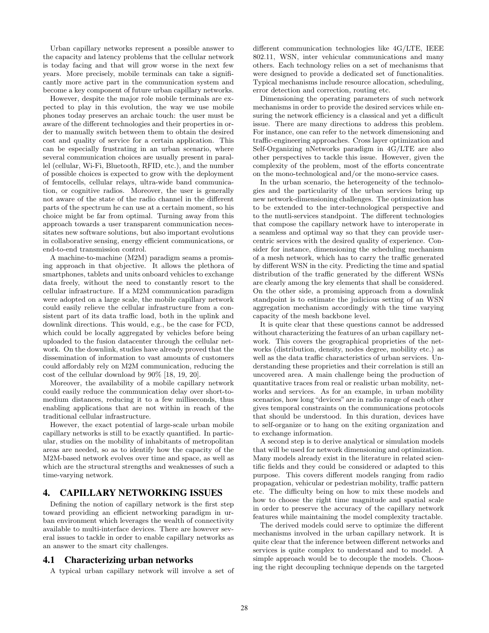Urban capillary networks represent a possible answer to the capacity and latency problems that the cellular network is today facing and that will grow worse in the next few years. More precisely, mobile terminals can take a significantly more active part in the communication system and become a key component of future urban capillary networks.

However, despite the major role mobile terminals are expected to play in this evolution, the way we use mobile phones today preserves an archaic touch: the user must be aware of the different technologies and their properties in order to manually switch between them to obtain the desired cost and quality of service for a certain application. This can be especially frustrating in an urban scenario, where several communication choices are usually present in parallel (cellular, Wi-Fi, Bluetooth, RFID, etc.), and the number of possible choices is expected to grow with the deployment of femtocells, cellular relays, ultra-wide band communication, or cognitive radios. Moreover, the user is generally not aware of the state of the radio channel in the different parts of the spectrum he can use at a certain moment, so his choice might be far from optimal. Turning away from this approach towards a user transparent communication necessitates new software solutions, but also important evolutions in collaborative sensing, energy efficient communications, or end-to-end transmission control.

A machine-to-machine (M2M) paradigm seams a promising approach in that objective. It allows the plethora of smartphones, tablets and units onboard vehicles to exchange data freely, without the need to constantly resort to the cellular infrastructure. If a M2M communication paradigm were adopted on a large scale, the mobile capillary network could easily relieve the cellular infrastructure from a consistent part of its data traffic load, both in the uplink and downlink directions. This would, e.g., be the case for FCD, which could be locally aggregated by vehicles before being uploaded to the fusion datacenter through the cellular network. On the downlink, studies have already proved that the dissemination of information to vast amounts of customers could affordably rely on M2M communication, reducing the cost of the cellular download by 90% [18, 19, 20].

Moreover, the availability of a mobile capillary network could easily reduce the communication delay over short-tomedium distances, reducing it to a few milliseconds, thus enabling applications that are not within in reach of the traditional cellular infrastructure.

However, the exact potential of large-scale urban mobile capillary networks is still to be exactly quantified. In particular, studies on the mobility of inhabitants of metropolitan areas are needed, so as to identify how the capacity of the M2M-based network evolves over time and space, as well as which are the structural strengths and weaknesses of such a time-varying network.

#### 4. CAPILLARY NETWORKING ISSUES

Defining the notion of capillary network is the first step toward providing an efficient networking paradigm in urban environment which leverages the wealth of connectivity available to multi-interface devices. There are however several issues to tackle in order to enable capillary networks as an answer to the smart city challenges.

#### 4.1 Characterizing urban networks

A typical urban capillary network will involve a set of

different communication technologies like 4G/LTE, IEEE 802.11, WSN, inter vehicular communications and many others. Each technology relies on a set of mechanisms that were designed to provide a dedicated set of functionalities. Typical mechanisms include resource allocation, scheduling, error detection and correction, routing etc.

Dimensioning the operating parameters of such network mechanisms in order to provide the desired services while ensuring the network efficiency is a classical and yet a difficult issue. There are many directions to address this problem. For instance, one can refer to the network dimensioning and traffic-engineering approaches. Cross layer optimization and Self-Organizing nNetworks paradigm in 4G/LTE are also other perspectives to tackle this issue. However, given the complexity of the problem, most of the efforts concentrate on the mono-technological and/or the mono-service cases.

In the urban scenario, the heterogeneity of the technologies and the particularity of the urban services bring up new network-dimensioning challenges. The optimization has to be extended to the inter-technological perspective and to the mutli-services standpoint. The different technologies that compose the capillary network have to interoperate in a seamless and optimal way so that they can provide usercentric services with the desired quality of experience. Consider for instance, dimensioning the scheduling mechanism of a mesh network, which has to carry the traffic generated by different WSN in the city. Predicting the time and spatial distribution of the traffic generated by the different WSNs are clearly among the key elements that shall be considered. On the other side, a promising approach from a downlink standpoint is to estimate the judicious setting of an WSN aggregation mechanism accordingly with the time varying capacity of the mesh backbone level.

It is quite clear that these questions cannot be addressed without characterizing the features of an urban capillary network. This covers the geographical proprieties of the networks (distribution, density, nodes degree, mobility etc.) as well as the data traffic characteristics of urban services. Understanding these proprieties and their correlation is still an uncovered area. A main challenge being the production of quantitative traces from real or realistic urban mobility, networks and services. As for an example, in urban mobility scenarios, how long "devices" are in radio range of each other gives temporal constraints on the communications protocols that should be understood. In this duration, devices have to self-organize or to hang on the exiting organization and to exchange information.

A second step is to derive analytical or simulation models that will be used for network dimensioning and optimization. Many models already exist in the literature in related scientific fields and they could be considered or adapted to this purpose. This covers different models ranging from radio propagation, vehicular or pedestrian mobility, traffic pattern etc. The difficulty being on how to mix these models and how to choose the right time magnitude and spatial scale in order to preserve the accuracy of the capillary network features while maintaining the model complexity tractable.

The derived models could serve to optimize the different mechanisms involved in the urban capillary network. It is quite clear that the inference between different networks and services is quite complex to understand and to model. A simple approach would be to decouple the models. Choosing the right decoupling technique depends on the targeted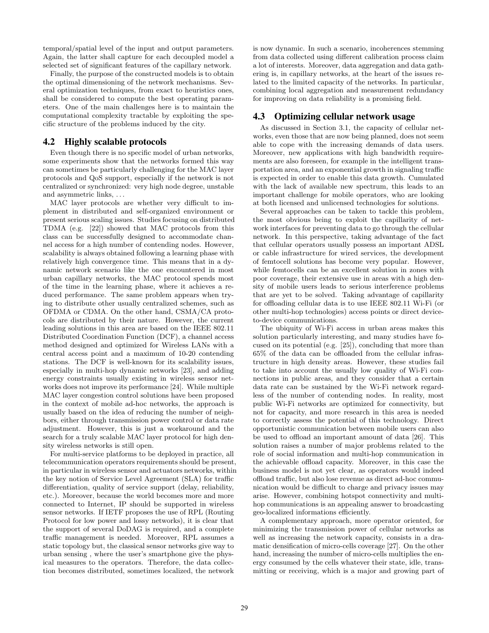temporal/spatial level of the input and output parameters. Again, the latter shall capture for each decoupled model a selected set of significant features of the capillary network.

Finally, the purpose of the constructed models is to obtain the optimal dimensioning of the network mechanisms. Several optimization techniques, from exact to heuristics ones, shall be considered to compute the best operating parameters. One of the main challenges here is to maintain the computational complexity tractable by exploiting the specific structure of the problems induced by the city.

## 4.2 Highly scalable protocols

Even though there is no specific model of urban networks, some experiments show that the networks formed this way can sometimes be particularly challenging for the MAC layer protocols and QoS support, especially if the network is not centralized or synchronized: very high node degree, unstable and asymmetric links, . . .

MAC layer protocols are whether very difficult to implement in distributed and self-organized environment or present serious scaling issues. Studies focusing on distributed TDMA (e.g. [22]) showed that MAC protocols from this class can be successfully designed to accommodate channel access for a high number of contending nodes. However, scalability is always obtained following a learning phase with relatively high convergence time. This means that in a dynamic network scenario like the one encountered in most urban capillary networks, the MAC protocol spends most of the time in the learning phase, where it achieves a reduced performance. The same problem appears when trying to distribute other usually centralized schemes, such as OFDMA or CDMA. On the other hand, CSMA/CA protocols are distributed by their nature. However, the current leading solutions in this area are based on the IEEE 802.11 Distributed Coordination Function (DCF), a channel access method designed and optimized for Wireless LANs with a central access point and a maximum of 10-20 contending stations. The DCF is well-known for its scalability issues, especially in multi-hop dynamic networks [23], and adding energy constraints usually existing in wireless sensor networks does not improve its performance [24]. While multiple MAC layer congestion control solutions have been proposed in the context of mobile ad-hoc networks, the approach is usually based on the idea of reducing the number of neighbors, either through transmission power control or data rate adjustment. However, this is just a workaround and the search for a truly scalable MAC layer protocol for high density wireless networks is still open.

For multi-service platforms to be deployed in practice, all telecommunication operators requirements should be present, in particular in wireless sensor and actuators networks, within the key notion of Service Level Agreement (SLA) for traffic differentiation, quality of service support (delay, reliability, etc.). Moreover, because the world becomes more and more connected to Internet, IP should be supported in wireless sensor networks. If IETF proposes the use of RPL (Routing Protocol for low power and lossy networks), it is clear that the support of several DoDAG is required, and a complete traffic management is needed. Moreover, RPL assumes a static topology but, the classical sensor networks give way to urban sensing , where the user's smartphone give the physical measures to the operators. Therefore, the data collection becomes distributed, sometimes localized, the network

is now dynamic. In such a scenario, incoherences stemming from data collected using different calibration process claim a lot of interests. Moreover, data aggregation and data gathering is, in capillary networks, at the heart of the issues related to the limited capacity of the networks. In particular, combining local aggregation and measurement redundancy for improving on data reliability is a promising field.

## 4.3 Optimizing cellular network usage

As discussed in Section 3.1, the capacity of cellular networks, even those that are now being planned, does not seem able to cope with the increasing demands of data users. Moreover, new applications with high bandwidth requirements are also foreseen, for example in the intelligent transportation area, and an exponential growth in signaling traffic is expected in order to enable this data growth. Cumulated with the lack of available new spectrum, this leads to an important challenge for mobile operators, who are looking at both licensed and unlicensed technologies for solutions.

Several approaches can be taken to tackle this problem, the most obvious being to exploit the capillarity of network interfaces for preventing data to go through the cellular network. In this perspective, taking advantage of the fact that cellular operators usually possess an important ADSL or cable infrastructure for wired services, the development of femtocell solutions has become very popular. However, while femtocells can be an excellent solution in zones with poor coverage, their extensive use in areas with a high density of mobile users leads to serious interference problems that are yet to be solved. Taking advantage of capillarity for offloading cellular data is to use IEEE 802.11 Wi-Fi (or other multi-hop technologies) access points or direct deviceto-device communications.

The ubiquity of Wi-Fi access in urban areas makes this solution particularly interesting, and many studies have focused on its potential (e.g. [25]), concluding that more than 65% of the data can be offloaded from the cellular infrastructure in high density areas. However, these studies fail to take into account the usually low quality of Wi-Fi connections in public areas, and they consider that a certain data rate can be sustained by the Wi-Fi network regardless of the number of contending nodes. In reality, most public Wi-Fi networks are optimized for connectivity, but not for capacity, and more research in this area is needed to correctly assess the potential of this technology. Direct opportunistic communication between mobile users can also be used to offload an important amount of data [26]. This solution raises a number of major problems related to the role of social information and multi-hop communication in the achievable offload capacity. Moreover, in this case the business model is not yet clear, as operators would indeed offload traffic, but also lose revenue as direct ad-hoc communication would be difficult to charge and privacy issues may arise. However, combining hotspot connectivity and multihop communications is an appealing answer to broadcasting geo-localized informations efficiently.

A complementary approach, more operator oriented, for minimizing the transmission power of cellular networks as well as increasing the network capacity, consists in a dramatic densification of micro-cells coverage [27]. On the other hand, increasing the number of micro-cells multiplies the energy consumed by the cells whatever their state, idle, transmitting or receiving, which is a major and growing part of